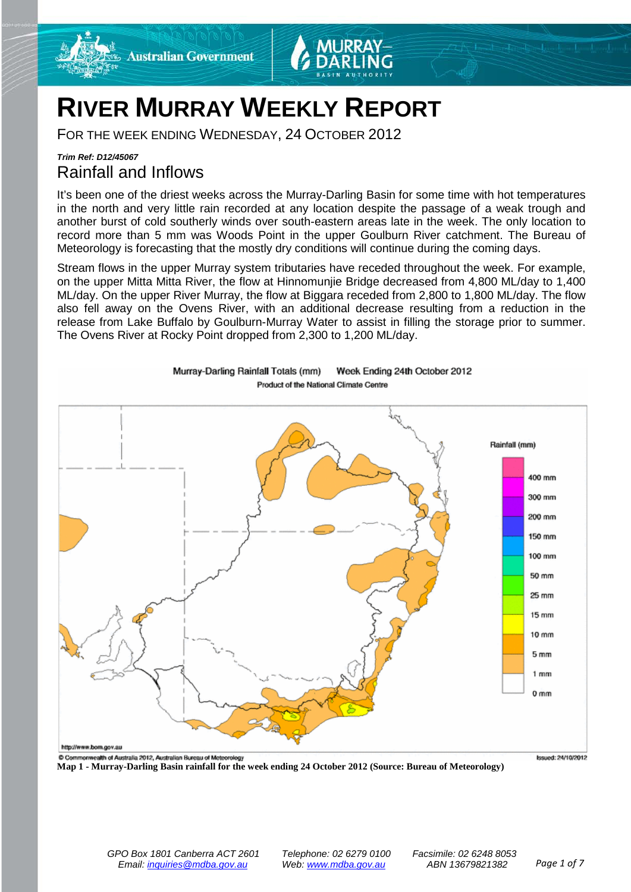

# **RIVER MURRAY WEEKLY REPORT**

FOR THE WEEK ENDING WEDNESDAY, 24 OCTOBER 2012

### *Trim Ref: D12/45067* Rainfall and Inflows

It's been one of the driest weeks across the Murray-Darling Basin for some time with hot temperatures in the north and very little rain recorded at any location despite the passage of a weak trough and another burst of cold southerly winds over south-eastern areas late in the week. The only location to record more than 5 mm was Woods Point in the upper Goulburn River catchment. The Bureau of Meteorology is forecasting that the mostly dry conditions will continue during the coming days.

Stream flows in the upper Murray system tributaries have receded throughout the week. For example, on the upper Mitta Mitta River, the flow at Hinnomunjie Bridge decreased from 4,800 ML/day to 1,400 ML/day. On the upper River Murray, the flow at Biggara receded from 2,800 to 1,800 ML/day. The flow also fell away on the Ovens River, with an additional decrease resulting from a reduction in the release from Lake Buffalo by Goulburn-Murray Water to assist in filling the storage prior to summer. The Ovens River at Rocky Point dropped from 2,300 to 1,200 ML/day.



Murray-Darling Rainfall Totals (mm) Week Ending 24th October 2012 Product of the National Climate Centre

**Map 1 - Murray-Darling Basin rainfall for the week ending 24 October 2012 (Source: Bureau of Meteorology)**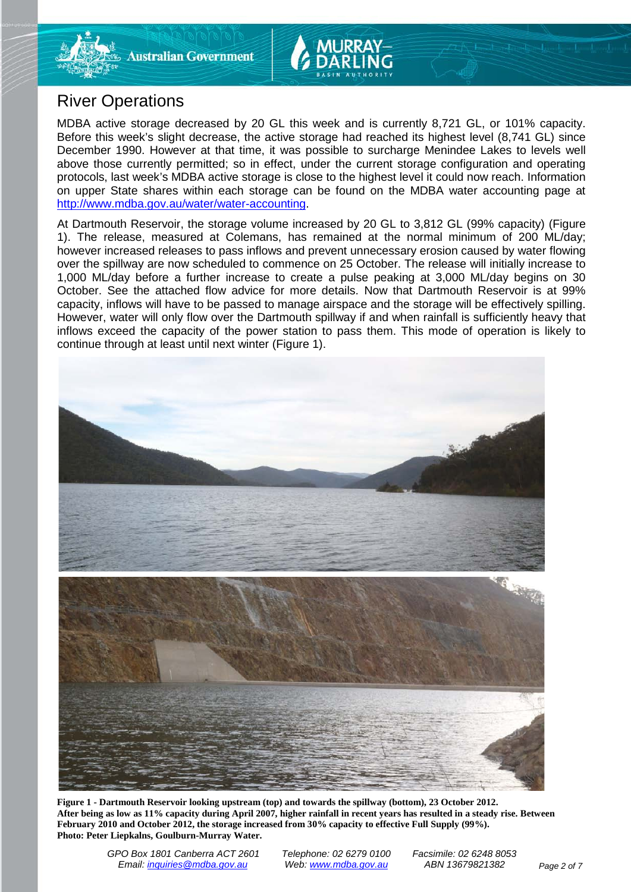

## River Operations

MDBA active storage decreased by 20 GL this week and is currently 8,721 GL, or 101% capacity. Before this week's slight decrease, the active storage had reached its highest level (8,741 GL) since December 1990. However at that time, it was possible to surcharge Menindee Lakes to levels well above those currently permitted; so in effect, under the current storage configuration and operating protocols, last week's MDBA active storage is close to the highest level it could now reach. Information on upper State shares within each storage can be found on the MDBA water accounting page at [http://www.mdba.gov.au/water/water-accounting.](http://www.mdba.gov.au/water/water-accounting)

At Dartmouth Reservoir, the storage volume increased by 20 GL to 3,812 GL (99% capacity) (Figure 1). The release, measured at Colemans, has remained at the normal minimum of 200 ML/day; however increased releases to pass inflows and prevent unnecessary erosion caused by water flowing over the spillway are now scheduled to commence on 25 October. The release will initially increase to 1,000 ML/day before a further increase to create a pulse peaking at 3,000 ML/day begins on 30 October. See the attached flow advice for more details. Now that Dartmouth Reservoir is at 99% capacity, inflows will have to be passed to manage airspace and the storage will be effectively spilling. However, water will only flow over the Dartmouth spillway if and when rainfall is sufficiently heavy that inflows exceed the capacity of the power station to pass them. This mode of operation is likely to continue through at least until next winter (Figure 1).



**Figure 1 - Dartmouth Reservoir looking upstream (top) and towards the spillway (bottom), 23 October 2012. After being as low as 11% capacity during April 2007, higher rainfall in recent years has resulted in a steady rise. Between February 2010 and October 2012, the storage increased from 30% capacity to effective Full Supply (99%). Photo: Peter Liepkalns, Goulburn-Murray Water.**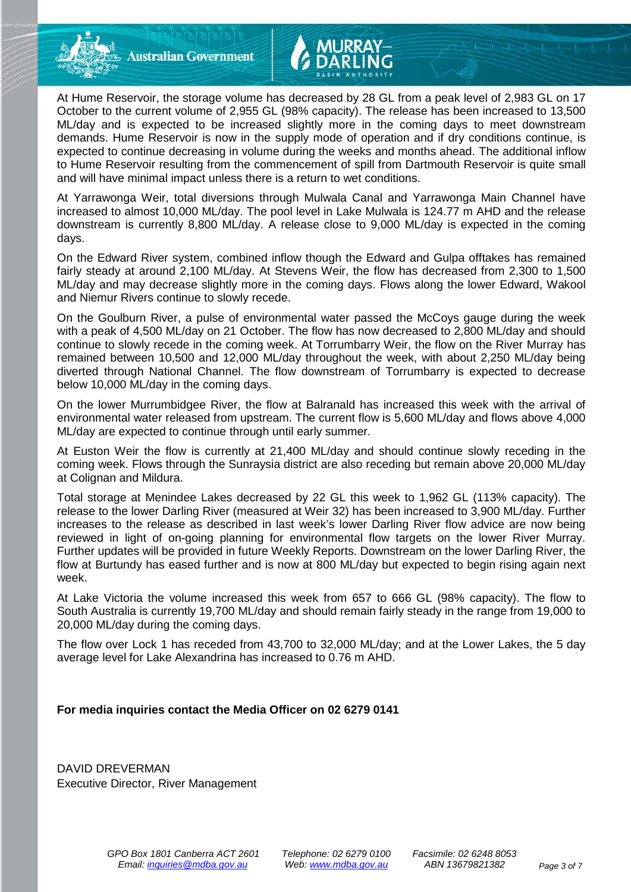**Australian Government** 

At Hume Reservoir, the storage volume has decreased by 28 GL from a peak level of 2,983 GL on 17 October to the current volume of 2,955 GL (98% capacity). The release has been increased to 13,500 ML/day and is expected to be increased slightly more in the coming days to meet downstream demands. Hume Reservoir is now in the supply mode of operation and if dry conditions continue, is expected to continue decreasing in volume during the weeks and months ahead. The additional inflow to Hume Reservoir resulting from the commencement of spill from Dartmouth Reservoir is quite small and will have minimal impact unless there is a return to wet conditions.

At Yarrawonga Weir, total diversions through Mulwala Canal and Yarrawonga Main Channel have increased to almost 10,000 ML/day. The pool level in Lake Mulwala is 124.77 m AHD and the release downstream is currently 8,800 ML/day. A release close to 9,000 ML/day is expected in the coming days.

On the Edward River system, combined inflow though the Edward and Gulpa offtakes has remained fairly steady at around 2,100 ML/day. At Stevens Weir, the flow has decreased from 2,300 to 1,500 ML/day and may decrease slightly more in the coming days. Flows along the lower Edward, Wakool and Niemur Rivers continue to slowly recede.

On the Goulburn River, a pulse of environmental water passed the McCoys gauge during the week with a peak of 4,500 ML/day on 21 October. The flow has now decreased to 2,800 ML/day and should continue to slowly recede in the coming week. At Torrumbarry Weir, the flow on the River Murray has remained between 10,500 and 12,000 ML/day throughout the week, with about 2,250 ML/day being diverted through National Channel. The flow downstream of Torrumbarry is expected to decrease below 10,000 ML/day in the coming days.

On the lower Murrumbidgee River, the flow at Balranald has increased this week with the arrival of environmental water released from upstream. The current flow is 5,600 ML/day and flows above 4,000 ML/day are expected to continue through until early summer.

At Euston Weir the flow is currently at 21,400 ML/day and should continue slowly receding in the coming week. Flows through the Sunraysia district are also receding but remain above 20,000 ML/day at Colignan and Mildura.

Total storage at Menindee Lakes decreased by 22 GL this week to 1,962 GL (113% capacity). The release to the lower Darling River (measured at Weir 32) has been increased to 3,900 ML/day. Further increases to the release as described in last week's lower Darling River flow advice are now being reviewed in light of on-going planning for environmental flow targets on the lower River Murray. Further updates will be provided in future Weekly Reports. Downstream on the lower Darling River, the flow at Burtundy has eased further and is now at 800 ML/day but expected to begin rising again next week.

At Lake Victoria the volume increased this week from 657 to 666 GL (98% capacity). The flow to South Australia is currently 19,700 ML/day and should remain fairly steady in the range from 19,000 to 20,000 ML/day during the coming days.

The flow over Lock 1 has receded from 43,700 to 32,000 ML/day; and at the Lower Lakes, the 5 day average level for Lake Alexandrina has increased to 0.76 m AHD.

### **For media inquiries contact the Media Officer on 02 6279 0141**

DAVID DREVERMAN Executive Director, River Management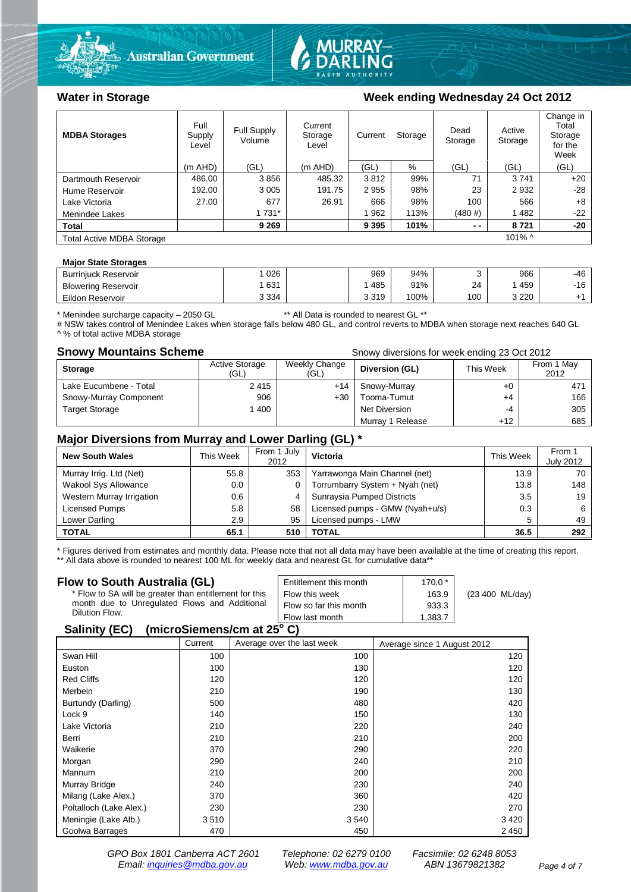



### Water in Storage **Week ending Wednesday 24 Oct 2012**

| <b>MDBA Storages</b>             | Full<br>Supply<br>Level | <b>Full Supply</b><br>Volume | Current<br>Storage<br>Level | Current |      | Dead<br>Active<br>Storage<br>Storage<br>Storage |           |       | Change in<br>Total<br>Storage<br>for the<br>Week |
|----------------------------------|-------------------------|------------------------------|-----------------------------|---------|------|-------------------------------------------------|-----------|-------|--------------------------------------------------|
|                                  | $(m$ AHD)               | (GL)                         | $(m$ AHD)                   | (GL)    | %    | (GL)                                            | (GL)      | (GL)  |                                                  |
| Dartmouth Reservoir              | 486.00                  | 3856                         | 485.32                      | 3812    | 99%  | 71                                              | 3741      | $+20$ |                                                  |
| Hume Reservoir                   | 192.00                  | 3 0 0 5                      | 191.75                      | 2955    | 98%  | 23                                              | 2932      | $-28$ |                                                  |
| Lake Victoria                    | 27.00                   | 677                          | 26.91                       | 666     | 98%  | 100                                             | 566       | $+8$  |                                                  |
| Menindee Lakes                   |                         | 1 7 3 1 *                    |                             | 962     | 113% | (480#)                                          | 1482      | $-22$ |                                                  |
| Total                            |                         | 9 2 6 9                      |                             | 9 3 9 5 | 101% | $ -$                                            | 8721      | $-20$ |                                                  |
| <b>Total Active MDBA Storage</b> |                         |                              |                             |         |      |                                                 | $101\%$ ^ |       |                                                  |

### **Major State Storages**

| <b>Burrinjuck Reservoir</b> | 026     | 969   | 94%  |     | 966     | -46 |
|-----------------------------|---------|-------|------|-----|---------|-----|
| <b>Blowering Reservoir</b>  | 631     | 485   | 91%  | 24  | 459     | -16 |
| Eildon Reservoir            | 3 3 3 4 | 3 319 | 100% | 100 | 3 2 2 0 |     |

\* Menindee surcharge capacity – 2050 GL \*\* All Data is rounded to nearest GL \*\*

# NSW takes control of Menindee Lakes when storage falls below 480 GL, and control reverts to MDBA when storage next reaches 640 GL A % of total active MDBA storage

**Snowy Mountains Scheme Snowy diversions for week ending 23 Oct 2012** 

| <b>Storage</b>         | <b>Active Storage</b><br>'GL) | Weekly Change<br>(GL) | Diversion (GL)       | This Week | From 1 May<br>2012 |
|------------------------|-------------------------------|-----------------------|----------------------|-----------|--------------------|
| Lake Eucumbene - Total | 2415                          | +14                   | Snowy-Murray         | +0        | 471                |
| Snowy-Murray Component | 906                           | +30                   | Tooma-Tumut          | +4        | 166                |
| <b>Target Storage</b>  | 400                           |                       | <b>Net Diversion</b> | -4        | 305                |
|                        |                               |                       | Murray 1 Release     | $+12$     | 685                |

### **Major Diversions from Murray and Lower Darling (GL) \***

| <b>New South Wales</b>    | This Week | From 1 July<br>2012 | Victoria                        | This Week | From 1<br><b>July 2012</b> |
|---------------------------|-----------|---------------------|---------------------------------|-----------|----------------------------|
| Murray Irrig. Ltd (Net)   | 55.8      | 353                 | Yarrawonga Main Channel (net)   | 13.9      | 70                         |
| Wakool Sys Allowance      | 0.0       |                     | Torrumbarry System + Nyah (net) | 13.8      | 148                        |
| Western Murray Irrigation | 0.6       | 4                   | Sunraysia Pumped Districts      | 3.5       | 19                         |
| Licensed Pumps            | 5.8       | 58                  | Licensed pumps - GMW (Nyah+u/s) | 0.3       | 6                          |
| Lower Darling             | 2.9       | 95                  | Licensed pumps - LMW            | 5         | 49                         |
| <b>TOTAL</b>              | 65.1      | 510                 | TOTAL                           | 36.5      | 292                        |

\* Figures derived from estimates and monthly data. Please note that not all data may have been available at the time of creating this report.

\*\* All data above is rounded to nearest 100 ML for weekly data and nearest GL for cumulative data\*\*

| Flow to South Australia (GL)                                                                            | Entitlement this month | $170.0*$ |                           |
|---------------------------------------------------------------------------------------------------------|------------------------|----------|---------------------------|
| * Flow to SA will be greater than entitlement for this<br>month due to Unregulated Flows and Additional | Flow this week         | 163.9    | $(23 400 \text{ ML/day})$ |
|                                                                                                         | Flow so far this month | 933.3    |                           |
| Dilution Flow.                                                                                          | Flow last month        | 1.383.7  |                           |
| $\mathbf{A}$ , $\mathbf{B}$ , $\mathbf{A}$ , $\mathbf{B}$                                               |                        |          |                           |

### **Salinity (EC) (microSiemens/cm at 25o C)**

|                         | Current | Average over the last week | Average since 1 August 2012 |
|-------------------------|---------|----------------------------|-----------------------------|
| Swan Hill               | 100     | 100                        | 120                         |
| Euston                  | 100     | 130                        | 120                         |
| <b>Red Cliffs</b>       | 120     | 120                        | 120                         |
| Merbein                 | 210     | 190                        | 130                         |
| Burtundy (Darling)      | 500     | 480                        | 420                         |
| Lock 9                  | 140     | 150                        | 130                         |
| Lake Victoria           | 210     | 220                        | 240                         |
| Berri                   | 210     | 210                        | 200                         |
| Waikerie                | 370     | 290                        | 220                         |
| Morgan                  | 290     | 240                        | 210                         |
| Mannum                  | 210     | 200                        | 200                         |
| Murray Bridge           | 240     | 230                        | 240                         |
| Milang (Lake Alex.)     | 370     | 360                        | 420                         |
| Poltalloch (Lake Alex.) | 230     | 230                        | 270                         |
| Meningie (Lake Alb.)    | 3510    | 3 5 4 0                    | 3420                        |
| Goolwa Barrages         | 470     | 450                        | 2 4 5 0                     |

*GPO Box 1801 Canberra ACT 2601 Telephone: 02 6279 0100 Facsimile: 02 6248 8053 Email: [inquiries@mdba.gov.au](mailto:inquiries@mdba.gov.au) Web: [www.mdba.gov.au](http://www.mdba.gov.au/) ABN 13679821382 Page 4 of 7*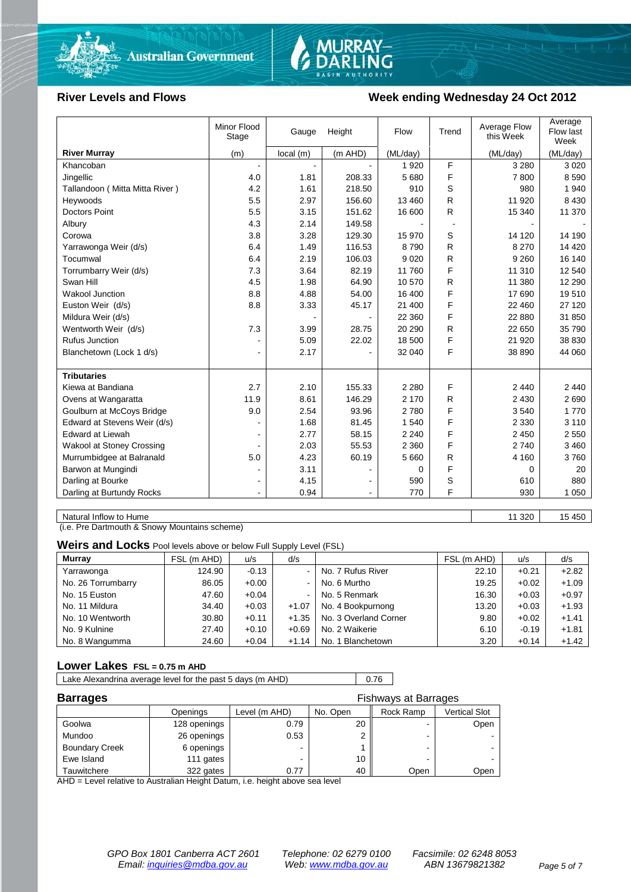



### River Levels and Flows **Week ending Wednesday 24 Oct 2012**

|                                  | Minor Flood<br>Stage | Gauge    | Height         | Flow     | Trend | Average Flow<br>this Week | Average<br>Flow last<br>Week |
|----------------------------------|----------------------|----------|----------------|----------|-------|---------------------------|------------------------------|
| <b>River Murray</b>              | (m)                  | local(m) | (m AHD)        | (ML/day) |       | (ML/day)                  | (ML/day)                     |
| Khancoban                        | $\blacksquare$       |          |                | 1920     | F     | 3 2 8 0                   | 3 0 2 0                      |
| Jingellic                        | 4.0                  | 1.81     | 208.33         | 5680     | F     | 7800                      | 8 5 9 0                      |
| Tallandoon (Mitta Mitta River)   | 4.2                  | 1.61     | 218.50         | 910      | S     | 980                       | 1 940                        |
| Heywoods                         | 5.5                  | 2.97     | 156.60         | 13 460   | R     | 11 920                    | 8 4 3 0                      |
| <b>Doctors Point</b>             | 5.5                  | 3.15     | 151.62         | 16 600   | R.    | 15 340                    | 11 370                       |
| Albury                           | 4.3                  | 2.14     | 149.58         |          |       |                           |                              |
| Corowa                           | 3.8                  | 3.28     | 129.30         | 15 970   | S     | 14 120                    | 14 190                       |
| Yarrawonga Weir (d/s)            | 6.4                  | 1.49     | 116.53         | 8790     | R     | 8 2 7 0                   | 14 4 20                      |
| Tocumwal                         | 6.4                  | 2.19     | 106.03         | 9 0 2 0  | R     | 9 2 6 0                   | 16 140                       |
| Torrumbarry Weir (d/s)           | 7.3                  | 3.64     | 82.19          | 11 760   | F     | 11 310                    | 12 540                       |
| Swan Hill                        | 4.5                  | 1.98     | 64.90          | 10 570   | R     | 11 380                    | 12 290                       |
| <b>Wakool Junction</b>           | 8.8                  | 4.88     | 54.00          | 16 400   | F     | 17 690                    | 19510                        |
| Euston Weir (d/s)                | 8.8                  | 3.33     | 45.17          | 21 400   | F     | 22 460                    | 27 120                       |
| Mildura Weir (d/s)               |                      |          |                | 22 360   | F     | 22 880                    | 31 850                       |
| Wentworth Weir (d/s)             | 7.3                  | 3.99     | 28.75          | 20 290   | R     | 22 650                    | 35 790                       |
| Rufus Junction                   |                      | 5.09     | 22.02          | 18 500   | F     | 21 9 20                   | 38 830                       |
| Blanchetown (Lock 1 d/s)         | $\blacksquare$       | 2.17     |                | 32 040   | F     | 38 890                    | 44 060                       |
|                                  |                      |          |                |          |       |                           |                              |
| <b>Tributaries</b>               |                      |          |                |          |       |                           |                              |
| Kiewa at Bandiana                | 2.7                  | 2.10     | 155.33         | 2 2 8 0  | F     | 2 4 4 0                   | 2 4 4 0                      |
| Ovens at Wangaratta              | 11.9                 | 8.61     | 146.29         | 2 170    | R     | 2 4 3 0                   | 2690                         |
| Goulburn at McCoys Bridge        | 9.0                  | 2.54     | 93.96          | 2780     | F     | 3540                      | 1 7 7 0                      |
| Edward at Stevens Weir (d/s)     |                      | 1.68     | 81.45          | 1540     | F     | 2 3 3 0                   | 3 1 1 0                      |
| <b>Edward at Liewah</b>          |                      | 2.77     | 58.15          | 2 2 4 0  | F     | 2 4 5 0                   | 2 5 5 0                      |
| <b>Wakool at Stoney Crossing</b> |                      | 2.03     | 55.53          | 2 3 6 0  | F     | 2740                      | 3 4 6 0                      |
| Murrumbidgee at Balranald        | $5.0\,$              | 4.23     | 60.19          | 5 6 6 0  | R     | 4 160                     | 3760                         |
| Barwon at Mungindi               | ۰                    | 3.11     |                | 0        | F     | 0                         | 20                           |
| Darling at Bourke                | $\blacksquare$       | 4.15     |                | 590      | S     | 610                       | 880                          |
| Darling at Burtundy Rocks        |                      | 0.94     | $\blacksquare$ | 770      | F     | 930                       | 1 0 5 0                      |

Natural Inflow to Hume 11 320 15 450

(i.e. Pre Dartmouth & Snowy Mountains scheme)

**Weirs and Locks** Pool levels above or below Full Supply Level (FSL)

| <b>Murray</b>      | FSL (m AHD) | u/s     | d/s            |                       | FSL (m AHD) | u/s     | d/s     |
|--------------------|-------------|---------|----------------|-----------------------|-------------|---------|---------|
| Yarrawonga         | 124.90      | $-0.13$ | $\blacksquare$ | No. 7 Rufus River     | 22.10       | $+0.21$ | $+2.82$ |
| No. 26 Torrumbarry | 86.05       | $+0.00$ | $\blacksquare$ | No. 6 Murtho          | 19.25       | $+0.02$ | $+1.09$ |
| No. 15 Euston      | 47.60       | $+0.04$ | $\sim$         | No. 5 Renmark         | 16.30       | $+0.03$ | $+0.97$ |
| No. 11 Mildura     | 34.40       | $+0.03$ | $+1.07$        | No. 4 Bookpurnong     | 13.20       | $+0.03$ | $+1.93$ |
| No. 10 Wentworth   | 30.80       | $+0.11$ | $+1.35$        | No. 3 Overland Corner | 9.80        | $+0.02$ | $+1.41$ |
| No. 9 Kulnine      | 27.40       | $+0.10$ | $+0.69$        | No. 2 Waikerie        | 6.10        | $-0.19$ | $+1.81$ |
| No. 8 Wangumma     | 24.60       | $+0.04$ | $+1.14$        | No. 1 Blanchetown     | 3.20        | $+0.14$ | $+1.42$ |

### **Lower Lakes FSL = 0.75 m AHD**

Lake Alexandrina average level for the past 5 days (m AHD) 0.76

| <b>Barrages</b>       |              | <b>Fishways at Barrages</b> |          |           |               |  |  |
|-----------------------|--------------|-----------------------------|----------|-----------|---------------|--|--|
|                       | Openings     | Level (m AHD)               | No. Open | Rock Ramp | Vertical Slot |  |  |
| Goolwa                | 128 openings | 0.79                        | 20       |           | Open          |  |  |
| Mundoo                | 26 openings  | 0.53                        |          | -         |               |  |  |
| <b>Boundary Creek</b> | 6 openings   |                             |          | -         |               |  |  |
| Ewe Island            | 111 gates    |                             | 10       |           |               |  |  |
| Tauwitchere           | 322 gates    | 0.77                        | 40       | Open      | Open          |  |  |

AHD = Level relative to Australian Height Datum, i.e. height above sea level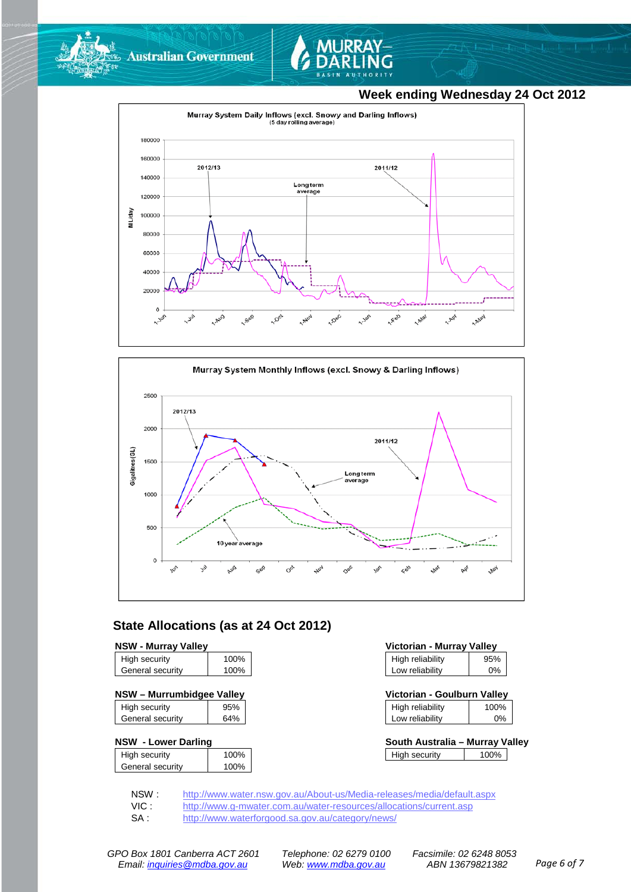



### **Week ending Wednesday 24 Oct 2012**





### **State Allocations (as at 24 Oct 2012)**

### **NSW - Murray Valley**

| High security    | 100% |
|------------------|------|
| General security | 100% |
|                  |      |

### **NSW – Murrumbidgee Valley Victorian - Goulburn Valley**

| High security    | 95% |
|------------------|-----|
| General security | 64% |
|                  |     |

### **NSW - Lower Darling**

| High security    | 100% |
|------------------|------|
|                  |      |
| General security | 100% |
|                  |      |

| Victorian - Murray Valley |       |  |
|---------------------------|-------|--|
| High reliability          | 95%   |  |
| Low reliability           | $0\%$ |  |

| Victorian - Goulburn Valley |      |
|-----------------------------|------|
| High reliability            | 100% |

| Low reliability | 0%      |
|-----------------|---------|
| т пун топаршу   | 1 VV 70 |

| South Australia - Murray Valley |      |  |
|---------------------------------|------|--|
| High security                   | 100% |  |

NSW : <http://www.water.nsw.gov.au/About-us/Media-releases/media/default.aspx><br>VIC : http://www.g-mwater.com.au/water-resources/allocations/current.asp

VIC : <http://www.g-mwater.com.au/water-resources/allocations/current.asp><br>SA : http://www.waterforgood.sa.gov.au/category/news/

<http://www.waterforgood.sa.gov.au/category/news/>